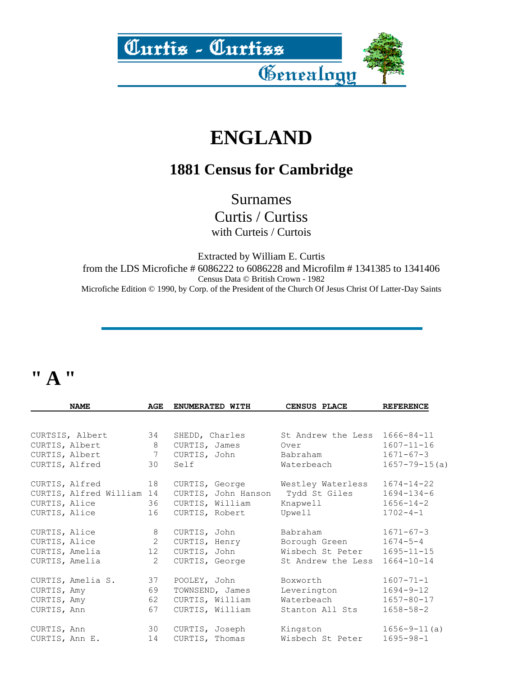

### **ENGLAND**

#### **1881 Census for Cambridge**

Surnames

Curtis / Curtiss

with Curteis / Curtois

Extracted by William E. Curtis

from the LDS Microfiche # 6086222 to 6086228 and Microfilm # 1341385 to 1341406 Census Data © British Crown - 1982

Microfiche Edition © 1990, by Corp. of the President of the Church Of Jesus Christ Of Latter-Day Saints

# **" A "**

|                | <b>NAME</b>               | AGE            | ENUMERATED WITH     | CENSUS PLACE       | <b>REFERENCE</b>    |
|----------------|---------------------------|----------------|---------------------|--------------------|---------------------|
|                |                           |                |                     |                    |                     |
|                | CURTSIS, Albert           | 34             | SHEDD, Charles      | St Andrew the Less | $1666 - 84 - 11$    |
| CURTIS, Albert |                           | 8              | CURTIS, James       | Over               | $1607 - 11 - 16$    |
| CURTIS, Albert |                           | 7              | CURTIS, John        | Babraham           | $1671 - 67 - 3$     |
| CURTIS, Alfred |                           | 30             | Self                | Waterbeach         | $1657 - 79 - 15(a)$ |
|                | CURTIS, Alfred            | 18             | CURTIS, George      | Westley Waterless  | $1674 - 14 - 22$    |
|                | CURTIS, Alfred William 14 |                | CURTIS, John Hanson | Tydd St Giles      | $1694 - 134 - 6$    |
| CURTIS, Alice  |                           | 36             | CURTIS, William     | Knapwell           | $1656 - 14 - 2$     |
| CURTIS, Alice  |                           | 16             | CURTIS, Robert      | Upwell             | $1702 - 4 - 1$      |
| CURTIS, Alice  |                           | 8              | CURTIS, John        | Babraham           | $1671 - 67 - 3$     |
| CURTIS, Alice  |                           | $\overline{2}$ | CURTIS, Henry       | Borough Green      | $1674 - 5 - 4$      |
| CURTIS, Amelia |                           | 12             | CURTIS, John        | Wisbech St Peter   | $1695 - 11 - 15$    |
| CURTIS, Amelia |                           | 2              | CURTIS, George      | St Andrew the Less | $1664 - 10 - 14$    |
|                | CURTIS, Amelia S.         | 37             | POOLEY, John        | Boxworth           | $1607 - 71 - 1$     |
| CURTIS, Amy    |                           | 69             | TOWNSEND, James     | Leverington        | $1694 - 9 - 12$     |
| CURTIS, Amy    |                           | 62             | CURTIS, William     | Waterbeach         | $1657 - 80 - 17$    |
| CURTIS, Ann    |                           | 67             | CURTIS, William     | Stanton All Sts    | $1658 - 58 - 2$     |
| CURTIS, Ann    |                           | 30             | CURTIS, Joseph      | Kingston           | $1656 - 9 - 11(a)$  |
| CURTIS, Ann E. |                           | 14             | CURTIS, Thomas      | Wisbech St Peter   | $1695 - 98 - 1$     |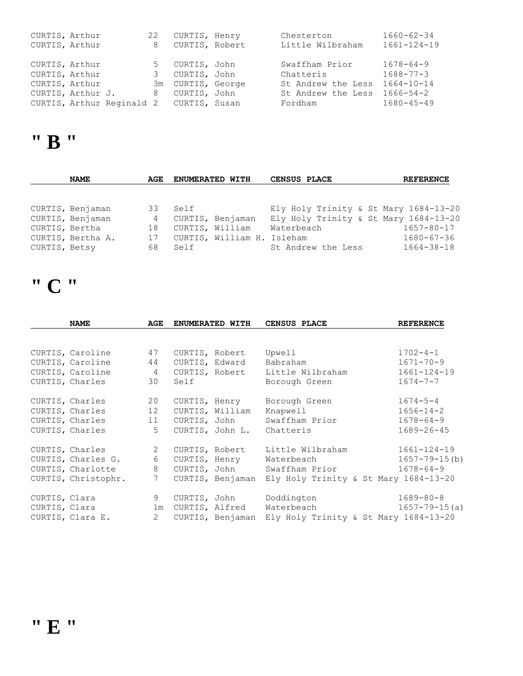| CURTIS, Arthur    |                                         | 22 | CURTIS, Henry     | Chesterton                   | 1660-62-34        |
|-------------------|-----------------------------------------|----|-------------------|------------------------------|-------------------|
| CURTIS, Arthur    |                                         | 8  | CURTIS, Robert    | Little Wilbraham             | $1661 - 124 - 19$ |
|                   |                                         |    |                   |                              |                   |
| CURTIS, Arthur    |                                         |    | 5 CURTIS, John    | Swaffham Prior               | $1678 - 64 - 9$   |
| CURTIS, Arthur    |                                         |    | 3 CURTIS, John    | Chatteris                    | $1688 - 77 - 3$   |
| CURTIS, Arthur    |                                         |    | 3m CURTIS, George | St Andrew the Less           | $1664 - 10 - 14$  |
| CURTIS, Arthur J. |                                         |    | 8 CURTIS, John    | St Andrew the Less 1666-54-2 |                   |
|                   | CURTIS, Arthur Reginald 2 CURTIS, Susan |    |                   | Fordham                      | $1680 - 45 - 49$  |

### **" B "**

|               | <b>NAME</b>       | AGE | ENUMERATED WITH            | <b>CENSUS PLACE</b>                   | <b>REFERENCE</b> |
|---------------|-------------------|-----|----------------------------|---------------------------------------|------------------|
|               |                   |     |                            |                                       |                  |
|               |                   |     |                            |                                       |                  |
|               | CURTIS, Benjaman  | 33  | Self                       | Ely Holy Trinity & St Mary 1684-13-20 |                  |
|               | CURTIS, Benjaman  | 4   | CURTIS, Benjaman           | Ely Holy Trinity & St Mary 1684-13-20 |                  |
|               | CURTIS, Bertha    | 18  | CURTIS, William            | Waterbeach                            | 1657-80-17       |
|               | CURTIS, Bertha A. | 17  | CURTIS, William H. Isleham |                                       | $1680 - 67 - 36$ |
| CURTIS, Betsy |                   | 68  | Self                       | St Andrew the Less                    | $1664 - 38 - 18$ |

# **" C "**

|               | <b>NAME</b>         | AGE            |      | ENUMERATED WITH  | CENSUS PLACE                                           | <b>REFERENCE</b>    |
|---------------|---------------------|----------------|------|------------------|--------------------------------------------------------|---------------------|
|               |                     |                |      |                  |                                                        |                     |
|               | CURTIS, Caroline    | 47             |      | CURTIS, Robert   | Upwell                                                 | $1702 - 4 - 1$      |
|               | CURTIS, Caroline    | 44             |      | CURTIS, Edward   | Babraham                                               | $1671 - 70 - 9$     |
|               | CURTIS, Caroline    | 4              |      | CURTIS, Robert   | Little Wilbraham                                       | $1661 - 124 - 19$   |
|               | CURTIS, Charles     | 30             | Self |                  | Borough Green                                          | $1674 - 7 - 7$      |
|               | CURTIS, Charles     | 20             |      | CURTIS, Henry    | Borough Green                                          | $1674 - 5 - 4$      |
|               | CURTIS, Charles     | 12             |      | CURTIS, William  | Knapwell                                               | $1656 - 14 - 2$     |
|               | CURTIS, Charles     | 11             |      | CURTIS, John     | Swaffham Prior                                         | $1678 - 64 - 9$     |
|               | CURTIS, Charles     | 5 <sup>1</sup> |      |                  | CURTIS, John L. Chatteris                              | $1689 - 26 - 45$    |
|               | CURTIS, Charles     | 2              |      | CURTIS, Robert   | Little Wilbraham                                       | $1661 - 124 - 19$   |
|               | CURTIS, Charles G.  | 6              |      | CURTIS, Henry    | Waterbeach                                             | $1657 - 79 - 15(b)$ |
|               | CURTIS, Charlotte   | 8              |      | CURTIS, John     | Swaffham Prior                                         | $1678 - 64 - 9$     |
|               | CURTIS, Christophr. | 7              |      |                  | CURTIS, Benjaman Ely Holy Trinity & St Mary 1684-13-20 |                     |
| CURTIS, Clara |                     | 9              |      | CURTIS, John     | Doddington                                             | $1689 - 80 - 8$     |
| CURTIS, Clara |                     | 1m             |      | CURTIS, Alfred   | Waterbeach                                             | $1657 - 79 - 15(a)$ |
|               | CURTIS, Clara E.    | $\overline{2}$ |      | CURTIS, Benjaman | Ely Holy Trinity & St Mary 1684-13-20                  |                     |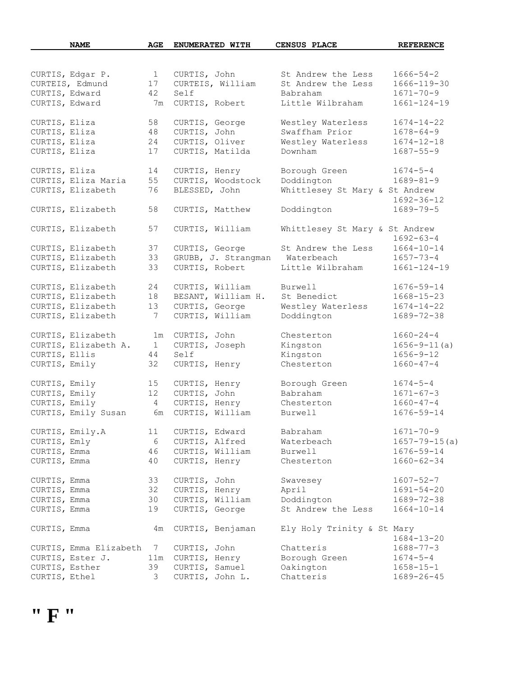| <b>NAME</b>                           | AGE                |                        | ENUMERATED WITH     | <b>CENSUS PLACE</b>            | <b>REFERENCE</b>                      |
|---------------------------------------|--------------------|------------------------|---------------------|--------------------------------|---------------------------------------|
|                                       |                    |                        |                     |                                |                                       |
| CURTIS, Edgar P.                      | $\mathbf{1}$       | CURTIS, John           |                     | St Andrew the Less             | $1666 - 54 - 2$                       |
| CURTEIS, Edmund                       | 17                 |                        | CURTEIS, William    | St Andrew the Less             | $1666 - 119 - 30$                     |
| CURTIS, Edward                        | 42                 | Self                   |                     | Babraham                       | $1671 - 70 - 9$                       |
| CURTIS, Edward                        | 7m                 | CURTIS, Robert         |                     | Little Wilbraham               | $1661 - 124 - 19$                     |
|                                       |                    |                        |                     |                                |                                       |
| CURTIS, Eliza                         | 58                 | CURTIS, George         |                     | Westley Waterless              | $1674 - 14 - 22$                      |
| CURTIS, Eliza                         | 48                 | CURTIS, John           |                     | Swaffham Prior                 | $1678 - 64 - 9$                       |
| CURTIS, Eliza                         | 24                 | CURTIS, Oliver         |                     | Westley Waterless              | $1674 - 12 - 18$                      |
| CURTIS, Eliza                         | 17                 |                        | CURTIS, Matilda     | Downham                        | $1687 - 55 - 9$                       |
| CURTIS, Eliza                         | 14                 | CURTIS, Henry          |                     | Borough Green                  | $1674 - 5 - 4$                        |
| CURTIS, Eliza Maria                   | 55                 |                        | CURTIS, Woodstock   | Doddington                     | $1689 - 81 - 9$                       |
| CURTIS, Elizabeth                     | 76                 | BLESSED, John          |                     | Whittlesey St Mary & St Andrew |                                       |
|                                       |                    |                        |                     |                                | $1692 - 36 - 12$                      |
| CURTIS, Elizabeth                     | 58                 |                        | CURTIS, Matthew     | Doddington                     | $1689 - 79 - 5$                       |
|                                       |                    |                        |                     |                                |                                       |
| CURTIS, Elizabeth                     | 57                 |                        | CURTIS, William     | Whittlesey St Mary & St Andrew |                                       |
|                                       |                    |                        |                     |                                | $1692 - 63 - 4$                       |
| CURTIS, Elizabeth                     | 37                 | CURTIS, George         |                     | St Andrew the Less             | $1664 - 10 - 14$                      |
| CURTIS, Elizabeth                     | 33                 |                        | GRUBB, J. Strangman | Waterbeach                     | $1657 - 73 - 4$                       |
| CURTIS, Elizabeth                     | 33                 |                        | CURTIS, Robert      | Little Wilbraham               | $1661 - 124 - 19$                     |
| CURTIS, Elizabeth                     | 24                 |                        | CURTIS, William     | Burwell                        | $1676 - 59 - 14$                      |
| CURTIS, Elizabeth                     | 18                 |                        | BESANT, William H.  | St Benedict                    | $1668 - 15 - 23$                      |
| CURTIS, Elizabeth                     | 13                 |                        | CURTIS, George      | Westley Waterless              | $1674 - 14 - 22$                      |
| CURTIS, Elizabeth                     | 7                  |                        | CURTIS, William     | Doddington                     | $1689 - 72 - 38$                      |
|                                       |                    |                        |                     |                                |                                       |
| CURTIS, Elizabeth                     | 1m                 | CURTIS, John           |                     | Chesterton                     | $1660 - 24 - 4$<br>$1656 - 9 - 11(a)$ |
| CURTIS, Elizabeth A.<br>CURTIS, Ellis | $\mathbf{1}$<br>44 | CURTIS, Joseph<br>Self |                     | Kingston<br>Kingston           | $1656 - 9 - 12$                       |
|                                       | 32                 |                        |                     | Chesterton                     | $1660 - 47 - 4$                       |
| CURTIS, Emily                         |                    | CURTIS, Henry          |                     |                                |                                       |
| CURTIS, Emily                         | 15                 | CURTIS, Henry          |                     | Borough Green                  | $1674 - 5 - 4$                        |
| CURTIS, Emily                         | 12 <sup>°</sup>    | CURTIS, John           |                     | Babraham                       | $1671 - 67 - 3$                       |
| CURTIS, Emily                         | $\overline{4}$     | CURTIS, Henry          |                     | Chesterton                     | $1660 - 47 - 4$                       |
| CURTIS, Emily Susan                   | 6m                 |                        | CURTIS, William     | Burwell                        | $1676 - 59 - 14$                      |
| CURTIS, Emily.A                       | 11                 | CURTIS, Edward         |                     | Babraham                       | $1671 - 70 - 9$                       |
| CURTIS, Emly                          | 6                  | CURTIS, Alfred         |                     | Waterbeach                     | $1657 - 79 - 15(a)$                   |
| CURTIS, Emma                          | 46                 |                        | CURTIS, William     | Burwell                        | $1676 - 59 - 14$                      |
| CURTIS, Emma                          | 40                 | CURTIS, Henry          |                     | Chesterton                     | $1660 - 62 - 34$                      |
|                                       |                    |                        |                     |                                |                                       |
| CURTIS, Emma                          | 33                 | CURTIS, John           |                     | Swavesey                       | $1607 - 52 - 7$                       |
| CURTIS, Emma                          | 32                 | CURTIS, Henry          |                     | April                          | $1691 - 54 - 20$                      |
| CURTIS, Emma                          | 30                 |                        | CURTIS, William     | Doddington                     | $1689 - 72 - 38$                      |
| CURTIS, Emma                          | 19                 | CURTIS, George         |                     | St Andrew the Less             | $1664 - 10 - 14$                      |
| CURTIS, Emma                          | 4m                 |                        | CURTIS, Benjaman    | Ely Holy Trinity & St Mary     |                                       |
|                                       |                    |                        |                     |                                | $1684 - 13 - 20$                      |
| CURTIS, Emma Elizabeth                | 7                  | CURTIS, John           |                     | Chatteris                      | $1688 - 77 - 3$                       |
| CURTIS, Ester J.                      | 11m                | CURTIS, Henry          |                     | Borough Green                  | $1674 - 5 - 4$                        |
| CURTIS, Esther                        | 39                 | CURTIS, Samuel         |                     | Oakington                      | $1658 - 15 - 1$                       |
| CURTIS, Ethel                         | 3                  |                        | CURTIS, John L.     | Chatteris                      | $1689 - 26 - 45$                      |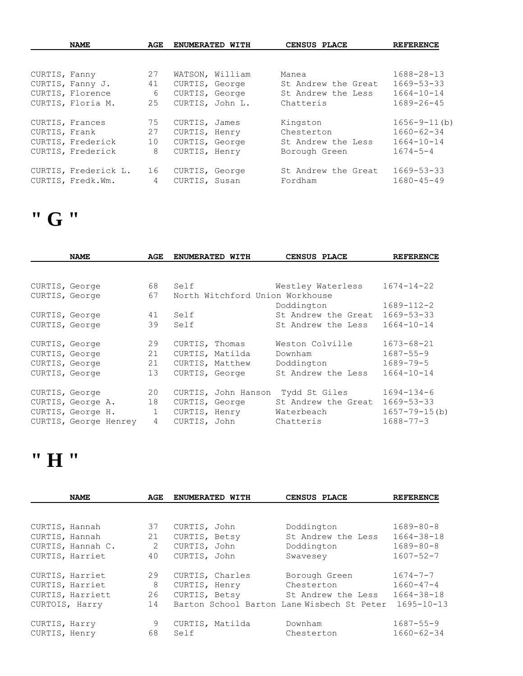|               | <b>NAME</b>          | AGE            |                | ENUMERATED WITH | <b>CENSUS PLACE</b> | <b>REFERENCE</b>   |
|---------------|----------------------|----------------|----------------|-----------------|---------------------|--------------------|
|               |                      |                |                |                 |                     |                    |
| CURTIS, Fanny |                      | 27             |                | WATSON, William | Manea               | $1688 - 28 - 13$   |
|               | CURTIS, Fanny J.     | 41             | CURTIS, George |                 | St Andrew the Great | $1669 - 53 - 33$   |
|               | CURTIS, Florence     | 6              |                | CURTIS, George  | St Andrew the Less  | $1664 - 10 - 14$   |
|               | CURTIS, Floria M.    | 25             |                | CURTIS, John L. | Chatteris           | $1689 - 26 - 45$   |
|               |                      |                |                |                 |                     |                    |
|               | CURTIS, Frances      | 75             | CURTIS, James  |                 | Kingston            | $1656 - 9 - 11(b)$ |
| CURTIS, Frank |                      | 27             | CURTIS, Henry  |                 | Chesterton          | $1660 - 62 - 34$   |
|               | CURTIS, Frederick    | 10             | CURTIS, George |                 | St Andrew the Less  | $1664 - 10 - 14$   |
|               | CURTIS, Frederick    | 8              | CURTIS, Henry  |                 | Borough Green       | $1674 - 5 - 4$     |
|               |                      |                |                |                 |                     |                    |
|               | CURTIS, Frederick L. | 16             | CURTIS, George |                 | St Andrew the Great | $1669 - 53 - 33$   |
|               | CURTIS, Fredk.Wm.    | $\overline{4}$ | CURTIS, Susan  |                 | Fordham             | $1680 - 45 - 49$   |

# **" G "**

|                | <b>NAME</b>           | AGE          | ENUMERATED WITH |                     | CENSUS PLACE                    | <b>REFERENCE</b>    |
|----------------|-----------------------|--------------|-----------------|---------------------|---------------------------------|---------------------|
|                |                       |              |                 |                     |                                 |                     |
| CURTIS, George |                       | 68           | Self            |                     | Westley Waterless               | $1674 - 14 - 22$    |
| CURTIS, George |                       | 67           |                 |                     | North Witchford Union Workhouse |                     |
|                |                       |              |                 |                     | Doddington                      | $1689 - 112 - 2$    |
| CURTIS, George |                       | 41           | Self            |                     | St Andrew the Great             | $1669 - 53 - 33$    |
| CURTIS, George |                       | 39           | Self            |                     | St Andrew the Less              | $1664 - 10 - 14$    |
|                |                       |              |                 |                     |                                 |                     |
| CURTIS, George |                       | 29           | CURTIS, Thomas  |                     | Weston Colville                 | $1673 - 68 - 21$    |
| CURTIS, George |                       | 21           | CURTIS, Matilda |                     | Downham                         | $1687 - 55 - 9$     |
| CURTIS, George |                       | 21           | CURTIS, Matthew |                     | Doddington                      | $1689 - 79 - 5$     |
| CURTIS, George |                       | 13           | CURTIS, George  |                     | St Andrew the Less              | $1664 - 10 - 14$    |
|                |                       |              |                 |                     |                                 |                     |
|                | CURTIS, George        | 20           |                 | CURTIS, John Hanson | Tydd St Giles                   | $1694 - 134 - 6$    |
|                | CURTIS, George A.     | 18           | CURTIS, George  |                     | St Andrew the Great             | $1669 - 53 - 33$    |
|                | CURTIS, George H.     | $\mathbf{1}$ | CURTIS, Henry   |                     | Waterbeach                      | $1657 - 79 - 15(b)$ |
|                | CURTIS, George Henrey | $4^{\circ}$  | CURTIS, John    |                     | Chatteris                       | $1688 - 77 - 3$     |

### **" H "**

|                | <b>NAME</b>       | AGE | ENUMERATED WITH                            | CENSUS PLACE       | <b>REFERENCE</b> |
|----------------|-------------------|-----|--------------------------------------------|--------------------|------------------|
|                |                   |     |                                            |                    |                  |
| CURTIS, Hannah |                   | 37  | CURTIS, John                               | Doddington         | $1689 - 80 - 8$  |
| CURTIS, Hannah |                   | 21  | CURTIS, Betsy                              | St Andrew the Less | $1664 - 38 - 18$ |
|                | CURTIS, Hannah C. | 2   | CURTIS, John                               | Doddington         | $1689 - 80 - 8$  |
|                | CURTIS, Harriet   | 40  | CURTIS, John                               | Swavesey           | $1607 - 52 - 7$  |
|                | CURTIS, Harriet   | 29  | CURTIS, Charles                            | Borough Green      | $1674 - 7 - 7$   |
|                | CURTIS, Harriet   | 8   | CURTIS, Henry                              | Chesterton         | $1660 - 47 - 4$  |
|                | CURTIS, Harriett  | 26  | CURTIS, Betsy                              | St Andrew the Less | $1664 - 38 - 18$ |
| CURTOIS, Harry |                   | 14  | Barton School Barton Lane Wisbech St Peter |                    | $1695 - 10 - 13$ |
| CURTIS, Harry  |                   | 9   | CURTIS, Matilda                            | Downham            | $1687 - 55 - 9$  |
| CURTIS, Henry  |                   | 68  | Self                                       | Chesterton         | $1660 - 62 - 34$ |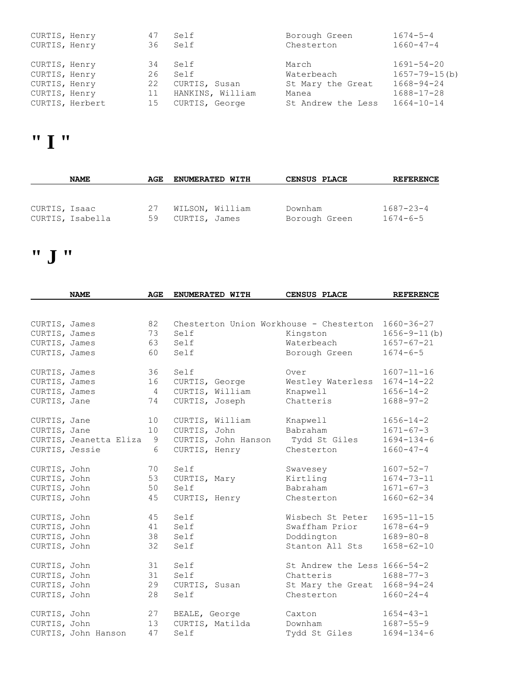| CURTIS, Henry |                 | 47 | Self             | Borough Green      | $1674 - 5 - 4$      |
|---------------|-----------------|----|------------------|--------------------|---------------------|
| CURTIS, Henry |                 | 36 | Self             | Chesterton         | $1660 - 47 - 4$     |
|               |                 |    |                  |                    |                     |
| CURTIS, Henry |                 | 34 | Self             | March              | 1691-54-20          |
| CURTIS, Henry |                 | 26 | Self             | Waterbeach         | $1657 - 79 - 15(b)$ |
| CURTIS, Henry |                 | 22 | CURTIS, Susan    | St Mary the Great  | $1668 - 94 - 24$    |
| CURTIS, Henry |                 | 11 | HANKINS, William | Manea              | $1688 - 17 - 28$    |
|               | CURTIS, Herbert | 15 | CURTIS, George   | St Andrew the Less | $1664 - 10 - 14$    |

#### **" I "**

|               | <b>NAME</b>      | AGE      | <b>ENUMERATED WITH</b>           | CENSUS PLACE             | <b>REFERENCE</b>                  |
|---------------|------------------|----------|----------------------------------|--------------------------|-----------------------------------|
|               |                  |          |                                  |                          |                                   |
| CURTIS, Isaac | CURTIS, Isabella | 27<br>59 | WILSON, William<br>CURTIS, James | Downham<br>Borough Green | $1687 - 23 - 4$<br>$1674 - 6 - 5$ |

# **" J "**

|                | <b>NAME</b>            | AGE            |                | ENUMERATED WITH     | CENSUS PLACE                            | <b>REFERENCE</b>   |
|----------------|------------------------|----------------|----------------|---------------------|-----------------------------------------|--------------------|
|                |                        |                |                |                     |                                         |                    |
| CURTIS, James  |                        | 82             |                |                     | Chesterton Union Workhouse - Chesterton | $1660 - 36 - 27$   |
| CURTIS, James  |                        | 73             | Self           |                     | Kingston                                | $1656 - 9 - 11(b)$ |
| CURTIS, James  |                        | 63             | Self           |                     | Waterbeach                              | $1657 - 67 - 21$   |
| CURTIS, James  |                        | 60             | Self           |                     | Borough Green                           | $1674 - 6 - 5$     |
| CURTIS, James  |                        | 36             | Self           |                     | Over                                    | $1607 - 11 - 16$   |
| CURTIS, James  |                        | 16             | CURTIS, George |                     | Westley Waterless                       | $1674 - 14 - 22$   |
| CURTIS, James  |                        | $\overline{4}$ |                | CURTIS, William     | Knapwell                                | $1656 - 14 - 2$    |
| CURTIS, Jane   |                        | 74             | CURTIS, Joseph |                     | Chatteris                               | $1688 - 97 - 2$    |
| CURTIS, Jane   |                        | 10             |                | CURTIS, William     | Knapwell                                | $1656 - 14 - 2$    |
| CURTIS, Jane   |                        | 10             | CURTIS, John   |                     | Babraham                                | $1671 - 67 - 3$    |
|                | CURTIS, Jeanetta Eliza | 9              |                | CURTIS, John Hanson | Tydd St Giles                           | $1694 - 134 - 6$   |
| CURTIS, Jessie |                        | 6              | CURTIS, Henry  |                     | Chesterton                              | $1660 - 47 - 4$    |
| CURTIS, John   |                        | 70             | Self           |                     | Swavesey                                | $1607 - 52 - 7$    |
| CURTIS, John   |                        | 53             | CURTIS, Mary   |                     | Kirtling                                | $1674 - 73 - 11$   |
| CURTIS, John   |                        | 50             | Self           |                     | Babraham                                | $1671 - 67 - 3$    |
| CURTIS, John   |                        | 45             | CURTIS, Henry  |                     | Chesterton                              | $1660 - 62 - 34$   |
| CURTIS, John   |                        | 45             | Self           |                     | Wisbech St Peter                        | $1695 - 11 - 15$   |
| CURTIS, John   |                        | 41             | Self           |                     | Swaffham Prior                          | $1678 - 64 - 9$    |
| CURTIS, John   |                        | 38             | Self           |                     | Doddington                              | $1689 - 80 - 8$    |
| CURTIS, John   |                        | 32             | Self           |                     | Stanton All Sts                         | $1658 - 62 - 10$   |
| CURTIS, John   |                        | 31             | Self           |                     | St Andrew the Less 1666-54-2            |                    |
| CURTIS, John   |                        | 31             | Self           |                     | Chatteris                               | $1688 - 77 - 3$    |
| CURTIS, John   |                        | 29             | CURTIS, Susan  |                     | St Mary the Great                       | $1668 - 94 - 24$   |
| CURTIS, John   |                        | 28             | Self           |                     | Chesterton                              | $1660 - 24 - 4$    |
| CURTIS, John   |                        | 27             | BEALE, George  |                     | Caxton                                  | $1654 - 43 - 1$    |
| CURTIS, John   |                        | 13             |                | CURTIS, Matilda     | Downham                                 | $1687 - 55 - 9$    |
|                | CURTIS, John Hanson    | 47             | Self           |                     | Tydd St Giles                           | $1694 - 134 - 6$   |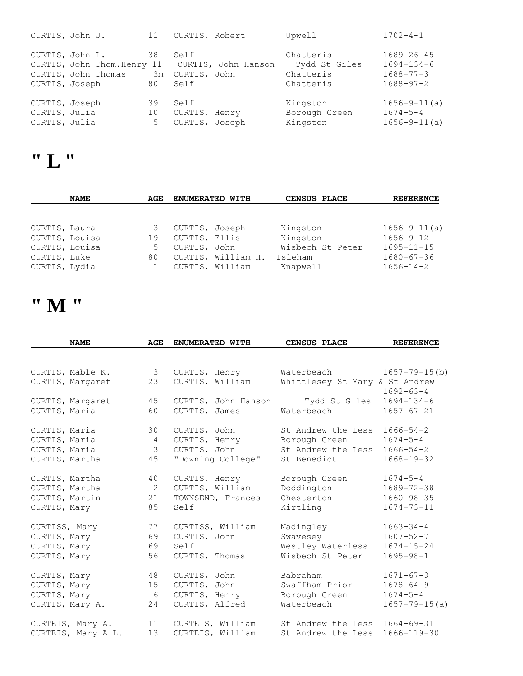|                                                  | CURTIS, John J.                                                                         | 11             | CURTIS, Robert                                      | Upwell                                               | $1702 - 4 - 1$                                                             |
|--------------------------------------------------|-----------------------------------------------------------------------------------------|----------------|-----------------------------------------------------|------------------------------------------------------|----------------------------------------------------------------------------|
|                                                  | CURTIS, John L.<br>CURTIS, John Thom. Henry 11<br>CURTIS, John Thomas<br>CURTIS, Joseph | 38<br>Зm<br>80 | Self<br>CURTIS, John Hanson<br>CURTIS, John<br>Self | Chatteris<br>Tydd St Giles<br>Chatteris<br>Chatteris | $1689 - 26 - 45$<br>$1694 - 134 - 6$<br>$1688 - 77 - 3$<br>$1688 - 97 - 2$ |
| CURTIS, Joseph<br>CURTIS, Julia<br>CURTIS, Julia |                                                                                         | 39<br>10<br>5  | Self<br>CURTIS, Henry<br>CURTIS, Joseph             | Kingston<br>Borough Green<br>Kingston                | $1656 - 9 - 11(a)$<br>$1674 - 5 - 4$<br>$1656 - 9 - 11(a)$                 |

### **" L "**

|                | <b>NAME</b> | AGE | <b>ENUMERATED WITH</b> |                    | CENSUS PLACE     | <b>REFERENCE</b>   |
|----------------|-------------|-----|------------------------|--------------------|------------------|--------------------|
|                |             |     |                        |                    |                  |                    |
| CURTIS, Laura  |             | 3   | CURTIS, Joseph         |                    | Kingston         | $1656 - 9 - 11(a)$ |
| CURTIS, Louisa |             | 19  | CURTIS, Ellis          |                    | Kingston         | $1656 - 9 - 12$    |
| CURTIS, Louisa |             | 5   | CURTIS, John           |                    | Wisbech St Peter | $1695 - 11 - 15$   |
| CURTIS, Luke   |             | 80  |                        | CURTIS, William H. | Isleham          | $1680 - 67 - 36$   |
| CURTIS, Lydia  |             |     | CURTIS, William        |                    | Knapwell         | $1656 - 14 - 2$    |

# **" M "**

|                | <b>NAME</b>        | AGE           | ENUMERATED WITH     | CENSUS PLACE                   | <b>REFERENCE</b>    |
|----------------|--------------------|---------------|---------------------|--------------------------------|---------------------|
|                |                    |               |                     |                                |                     |
|                | CURTIS, Mable K.   | $\mathcal{S}$ | CURTIS, Henry       | Waterbeach                     | $1657 - 79 - 15(b)$ |
|                | CURTIS, Margaret   | 23            | CURTIS, William     | Whittlesey St Mary & St Andrew | $1692 - 63 - 4$     |
|                | CURTIS, Margaret   | 45            | CURTIS, John Hanson | Tydd St Giles                  | $1694 - 134 - 6$    |
| CURTIS, Maria  |                    | 60            | CURTIS, James       | Waterbeach                     | $1657 - 67 - 21$    |
| CURTIS, Maria  |                    | 30            | CURTIS, John        | St Andrew the Less             | $1666 - 54 - 2$     |
| CURTIS, Maria  |                    | 4             | CURTIS, Henry       | Borough Green                  | $1674 - 5 - 4$      |
| CURTIS, Maria  |                    | $\mathcal{S}$ | CURTIS, John        | St Andrew the Less             | $1666 - 54 - 2$     |
|                | CURTIS, Martha     | 45            | "Downing College"   | St Benedict                    | $1668 - 19 - 32$    |
| CURTIS, Martha |                    | 40            | CURTIS, Henry       | Borough Green                  | $1674 - 5 - 4$      |
| CURTIS, Martha |                    | 2             | CURTIS, William     | Doddington                     | $1689 - 72 - 38$    |
| CURTIS, Martin |                    | 21            | TOWNSEND, Frances   | Chesterton                     | $1660 - 98 - 35$    |
| CURTIS, Mary   |                    | 85            | Self                | Kirtling                       | $1674 - 73 - 11$    |
| CURTISS, Mary  |                    | 77            | CURTISS, William    | Madingley                      | $1663 - 34 - 4$     |
| CURTIS, Mary   |                    | 69            | CURTIS, John        | Swavesey                       | $1607 - 52 - 7$     |
| CURTIS, Mary   |                    | 69            | Self                | Westley Waterless              | $1674 - 15 - 24$    |
| CURTIS, Mary   |                    | 56            | CURTIS, Thomas      | Wisbech St Peter               | $1695 - 98 - 1$     |
| CURTIS, Mary   |                    | 48            | CURTIS, John        | Babraham                       | $1671 - 67 - 3$     |
| CURTIS, Mary   |                    | 15            | CURTIS, John        | Swaffham Prior                 | $1678 - 64 - 9$     |
| CURTIS, Mary   |                    | 6             | CURTIS, Henry       | Borough Green                  | $1674 - 5 - 4$      |
|                | CURTIS, Mary A.    | 24            | CURTIS, Alfred      | Waterbeach                     | $1657 - 79 - 15(a)$ |
|                | CURTEIS, Mary A.   | 11            | CURTEIS, William    | St Andrew the Less             | $1664 - 69 - 31$    |
|                | CURTEIS, Mary A.L. | 13            | CURTEIS, William    | St Andrew the Less             | 1666-119-30         |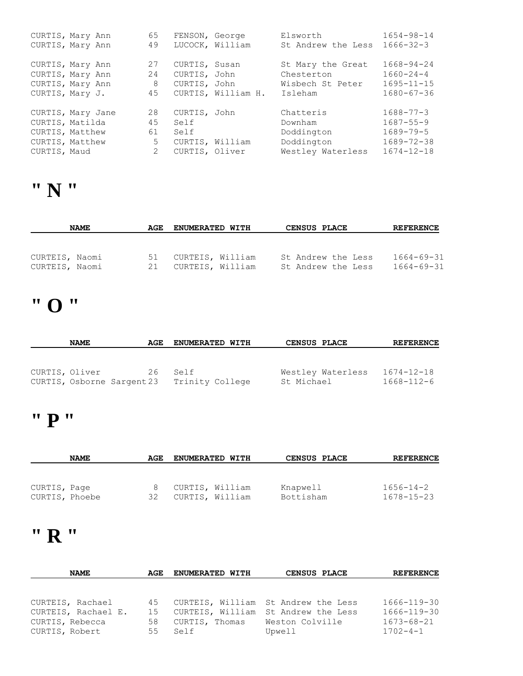|              | CURTIS, Mary Ann  | 65             | FENSON, George |                    | Elsworth           | $1654 - 98 - 14$ |
|--------------|-------------------|----------------|----------------|--------------------|--------------------|------------------|
|              | CURTIS, Mary Ann  | 49             |                | LUCOCK, William    | St Andrew the Less | $1666 - 32 - 3$  |
|              |                   |                |                |                    |                    |                  |
|              | CURTIS, Mary Ann  | 27             | CURTIS, Susan  |                    | St Mary the Great  | $1668 - 94 - 24$ |
|              | CURTIS, Mary Ann  | 24             | CURTIS, John   |                    | Chesterton         | $1660 - 24 - 4$  |
|              | CURTIS, Mary Ann  | 8              | CURTIS, John   |                    | Wisbech St Peter   | $1695 - 11 - 15$ |
|              | CURTIS, Mary J.   | 45             |                | CURTIS, William H. | Isleham            | $1680 - 67 - 36$ |
|              |                   |                |                |                    |                    |                  |
|              | CURTIS, Mary Jane | 28             | CURTIS, John   |                    | Chatteris          | $1688 - 77 - 3$  |
|              | CURTIS, Matilda   | 45             | Self           |                    | Downham            | $1687 - 55 - 9$  |
|              | CURTIS, Matthew   | 61             | Self           |                    | Doddington         | $1689 - 79 - 5$  |
|              | CURTIS, Matthew   | 5              |                | CURTIS, William    | Doddington         | $1689 - 72 - 38$ |
| CURTIS, Maud |                   | $\overline{2}$ | CURTIS, Oliver |                    | Westley Waterless  | $1674 - 12 - 18$ |

### **" N "**

| <b>NAME</b>                      |  | AGE      | <b>ENUMERATED WITH</b>               |  | <b>CENSUS PLACE</b> | <b>REFERENCE</b>                         |                                      |
|----------------------------------|--|----------|--------------------------------------|--|---------------------|------------------------------------------|--------------------------------------|
| CURTEIS, Naomi<br>CURTEIS, Naomi |  | 51<br>21 | CURTEIS, William<br>CURTEIS, William |  |                     | St Andrew the Less<br>St Andrew the Less | $1664 - 69 - 31$<br>$1664 - 69 - 31$ |

# **" O "**

|                | <b>NAME</b> | AGE | <b>ENUMERATED WITH</b>                     | <b>CENSUS PLACE</b> | <b>REFERENCE</b> |
|----------------|-------------|-----|--------------------------------------------|---------------------|------------------|
|                |             |     |                                            |                     |                  |
|                |             |     |                                            |                     |                  |
| CURTIS, Oliver |             | 26  | Self                                       | Westley Waterless   | $1674 - 12 - 18$ |
|                |             |     | CURTIS, Osborne Sargent 23 Trinity College | St Michael          | 1668-112-6       |

### **" P "**

|                                | <b>NAME</b> | AGE | <b>ENUMERATED WITH</b>             | CENSUS PLACE          | <b>REFERENCE</b>                    |
|--------------------------------|-------------|-----|------------------------------------|-----------------------|-------------------------------------|
|                                |             |     |                                    |                       |                                     |
| CURTIS, Page<br>CURTIS, Phoebe |             | 32  | CURTIS, William<br>CURTIS, William | Knapwell<br>Bottisham | $1656 - 14 - 2$<br>$1678 - 15 - 23$ |

### **" R "**

| <b>NAME</b>                                                                  | AGE                  | <b>ENUMERATED WITH</b> | CENSUS PLACE                                                                                            | <b>REFERENCE</b>                                                 |
|------------------------------------------------------------------------------|----------------------|------------------------|---------------------------------------------------------------------------------------------------------|------------------------------------------------------------------|
|                                                                              |                      |                        |                                                                                                         |                                                                  |
| CURTEIS, Rachael<br>CURTEIS, Rachael E.<br>CURTIS, Rebecca<br>CURTIS, Robert | 45<br>15<br>58<br>55 | CURTIS, Thomas<br>Self | CURTEIS, William St Andrew the Less<br>CURTEIS, William St Andrew the Less<br>Weston Colville<br>Upwell | 1666-119-30<br>1666-119-30<br>$1673 - 68 - 21$<br>$1702 - 4 - 1$ |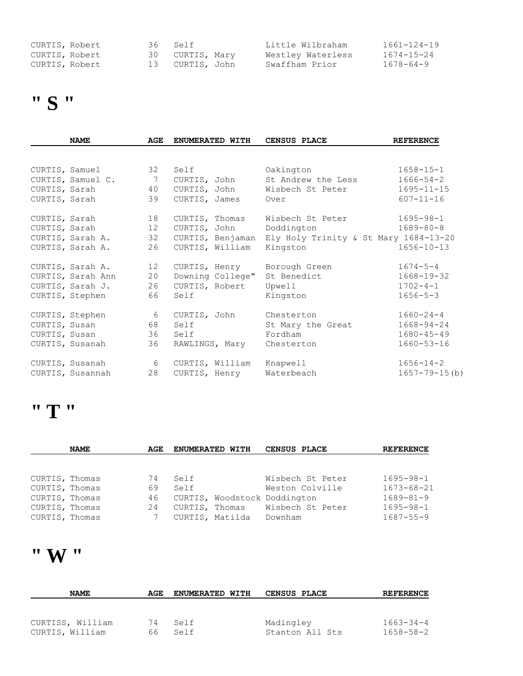| CURTIS, Robert | 36 Self         | Little Wilbraham  | $1661 - 124 - 19$ |
|----------------|-----------------|-------------------|-------------------|
| CURTIS, Robert | 30 CURTIS, Mary | Westley Waterless | $1674 - 15 - 24$  |
| CURTIS, Robert | 13 CURTIS, John | Swaffham Prior    | 1678-64-9         |

# **" S "**

|                | <b>NAME</b>       | AGE | ENUMERATED WITH  | CENSUS PLACE                                           | <b>REFERENCE</b>    |
|----------------|-------------------|-----|------------------|--------------------------------------------------------|---------------------|
|                |                   |     |                  |                                                        |                     |
| CURTIS, Samuel |                   | 32  | Self             | Oakington                                              | $1658 - 15 - 1$     |
|                | CURTIS, Samuel C. | 7   | CURTIS, John     | St Andrew the Less                                     | $1666 - 54 - 2$     |
| CURTIS, Sarah  |                   | 40  | CURTIS, John     | Wisbech St Peter                                       | $1695 - 11 - 15$    |
| CURTIS, Sarah  |                   | 39  | CURTIS, James    | Over                                                   | $607 - 11 - 16$     |
| CURTIS, Sarah  |                   | 18  | CURTIS, Thomas   | Wisbech St Peter                                       | $1695 - 98 - 1$     |
| CURTIS, Sarah  |                   | 12  | CURTIS, John     | Doddington                                             | $1689 - 80 - 8$     |
|                | CURTIS, Sarah A.  | 32  |                  | CURTIS, Benjaman Ely Holy Trinity & St Mary 1684-13-20 |                     |
|                | CURTIS, Sarah A.  | 26  | CURTIS, William  | Kingston                                               | $1656 - 10 - 13$    |
|                | CURTIS, Sarah A.  | 12  | CURTIS, Henry    | Borough Green                                          | $1674 - 5 - 4$      |
|                | CURTIS, Sarah Ann | 20  | Downing College" | St Benedict                                            | $1668 - 19 - 32$    |
|                | CURTIS, Sarah J.  | 26  | CURTIS, Robert   | Upwell                                                 | $1702 - 4 - 1$      |
|                | CURTIS, Stephen   | 66  | Self             | Kingston                                               | $1656 - 5 - 3$      |
|                | CURTIS, Stephen   | 6   | CURTIS, John     | Chesterton                                             | $1660 - 24 - 4$     |
| CURTIS, Susan  |                   | 68  | Self             | St Mary the Great                                      | $1668 - 94 - 24$    |
| CURTIS, Susan  |                   | 36  | Self             | Fordham                                                | $1680 - 45 - 49$    |
|                | CURTIS, Susanah   | 36  | RAWLINGS, Mary   | Chesterton                                             | $1660 - 53 - 16$    |
|                | CURTIS, Susanah   | 6   | CURTIS, William  | Knapwell                                               | $1656 - 14 - 2$     |
|                | CURTIS, Susannah  | 28  | CURTIS, Henry    | Waterbeach                                             | $1657 - 79 - 15(b)$ |

#### **" T "**

|                | <b>NAME</b> | AGE | ENUMERATED WITH |                              | <b>CENSUS PLACE</b> |                  | <b>REFERENCE</b> |
|----------------|-------------|-----|-----------------|------------------------------|---------------------|------------------|------------------|
|                |             |     |                 |                              |                     |                  |                  |
|                |             |     |                 |                              |                     |                  |                  |
| CURTIS, Thomas |             | 74  | Self            |                              |                     | Wisbech St Peter | $1695 - 98 - 1$  |
| CURTIS, Thomas |             | 69  | Self            |                              |                     | Weston Colville  | $1673 - 68 - 21$ |
| CURTIS, Thomas |             | 46  |                 | CURTIS, Woodstock Doddington |                     |                  | $1689 - 81 - 9$  |
| CURTIS, Thomas |             | 24  | CURTIS, Thomas  |                              |                     | Wisbech St Peter | $1695 - 98 - 1$  |
| CURTIS, Thomas |             |     | CURTIS, Matilda |                              | Downham             |                  | $1687 - 55 - 9$  |

### **" W "**

| <b>NAME</b>      | AGE | <b>ENUMERATED WITH</b> | <b>CENSUS PLACE</b> | <b>REFERENCE</b> |
|------------------|-----|------------------------|---------------------|------------------|
|                  |     |                        |                     |                  |
|                  |     |                        |                     |                  |
| CURTISS, William | 74  | Self                   | Madingley           | $1663 - 34 - 4$  |
| CURTIS, William  | 66  | Self                   | Stanton All Sts     | $1658 - 58 - 2$  |